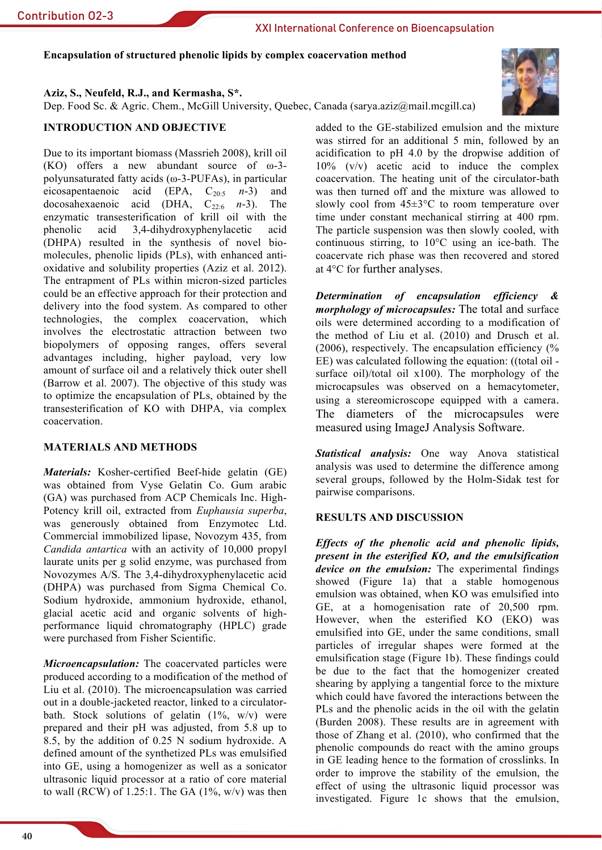## Encapsulation of structured phenolic lipids by complex coacervation method

Aziz, S., Neufeld, R.J., and Kermasha, S\*.

Dep. Food Sc. & Agric. Chem., McGill University, Quebec, Canada (sarya.aziz@mail.mcgill.ca)

# **INTRODUCTION AND OBJECTIVE**

Due to its important biomass (Massrieh 2008), krill oil  $(KO)$  offers a new abundant source of  $\omega$ -3polyunsaturated fatty acids ( $\omega$ -3-PUFAs), in particular eicosapentaenoic acid (EPA,  $C_{20:5}$  n-3) and docosahexaenoic acid (DHA,  $C_{22:6}$  n-3). The enzymatic transesterification of krill oil with the acid 3.4-dihydroxyphenylacetic acid phenolic (DHPA) resulted in the synthesis of novel biomolecules, phenolic lipids (PLs), with enhanced antioxidative and solubility properties (Aziz et al. 2012). The entrapment of PLs within micron-sized particles could be an effective approach for their protection and delivery into the food system. As compared to other technologies, the complex coacervation, which involves the electrostatic attraction between two biopolymers of opposing ranges, offers several advantages including, higher payload, very low amount of surface oil and a relatively thick outer shell (Barrow et al. 2007). The objective of this study was to optimize the encapsulation of PLs, obtained by the transesterification of KO with DHPA, via complex coacervation

## **MATERIALS AND METHODS**

*Materials:* Kosher-certified Beef-hide gelatin (GE) was obtained from Vyse Gelatin Co. Gum arabic (GA) was purchased from ACP Chemicals Inc. High-Potency krill oil, extracted from Euphausia superba, was generously obtained from Enzymotec Ltd. Commercial immobilized lipase, Novozym 435, from Candida antartica with an activity of 10,000 propyl laurate units per g solid enzyme, was purchased from Novozymes A/S. The 3,4-dihydroxyphenylacetic acid (DHPA) was purchased from Sigma Chemical Co. Sodium hydroxide, ammonium hydroxide, ethanol, glacial acetic acid and organic solvents of highperformance liquid chromatography (HPLC) grade were purchased from Fisher Scientific.

Microencapsulation: The coacervated particles were produced according to a modification of the method of Liu et al. (2010). The microencapsulation was carried out in a double-jacketed reactor, linked to a circulatorbath. Stock solutions of gelatin  $(1\% , w/v)$  were prepared and their pH was adjusted, from 5.8 up to 8.5, by the addition of 0.25 N sodium hydroxide. A defined amount of the synthetized PLs was emulsified into GE, using a homogenizer as well as a sonicator ultrasonic liquid processor at a ratio of core material to wall (RCW) of 1.25:1. The GA  $(1\%, w/v)$  was then

40

added to the GE-stabilized emulsion and the mixture was stirred for an additional 5 min. followed by an acidification to pH 4.0 by the dropwise addition of  $10\%$  (v/v) acetic acid to induce the complex coacervation. The heating unit of the circulator-bath was then turned off and the mixture was allowed to slowly cool from  $45\pm3$ °C to room temperature over time under constant mechanical stirring at 400 rpm. The particle suspension was then slowly cooled, with continuous stirring, to  $10^{\circ}$ C using an ice-bath. The coacervate rich phase was then recovered and stored at 4°C for further analyses.

Determination of encapsulation efficiency & *morphology of microcapsules:* The total and surface oils were determined according to a modification of the method of Liu et al. (2010) and Drusch et al.  $(2006)$ , respectively. The encapsulation efficiency  $\frac{6}{6}$ EE) was calculated following the equation: ((total oil surface oil)/total oil  $x100$ ). The morphology of the microcapsules was observed on a hemacytometer, using a stereomicroscope equipped with a camera. The diameters of the microcapsules were measured using ImageJ Analysis Software.

Statistical analysis: One way Anova statistical analysis was used to determine the difference among several groups, followed by the Holm-Sidak test for pairwise comparisons.

## **RESULTS AND DISCUSSION**

Effects of the phenolic acid and phenolic lipids, present in the esterified KO, and the emulsification device on the emulsion: The experimental findings showed (Figure 1a) that a stable homogenous emulsion was obtained, when KO was emulsified into GE, at a homogenisation rate of 20,500 rpm. However, when the esterified KO (EKO) was emulsified into GE, under the same conditions, small particles of irregular shapes were formed at the emulsification stage (Figure 1b). These findings could be due to the fact that the homogenizer created shearing by applying a tangential force to the mixture which could have favored the interactions between the PLs and the phenolic acids in the oil with the gelatin (Burden 2008). These results are in agreement with those of Zhang et al. (2010), who confirmed that the phenolic compounds do react with the amino groups in GE leading hence to the formation of crosslinks. In order to improve the stability of the emulsion, the effect of using the ultrasonic liquid processor was investigated. Figure 1c shows that the emulsion,